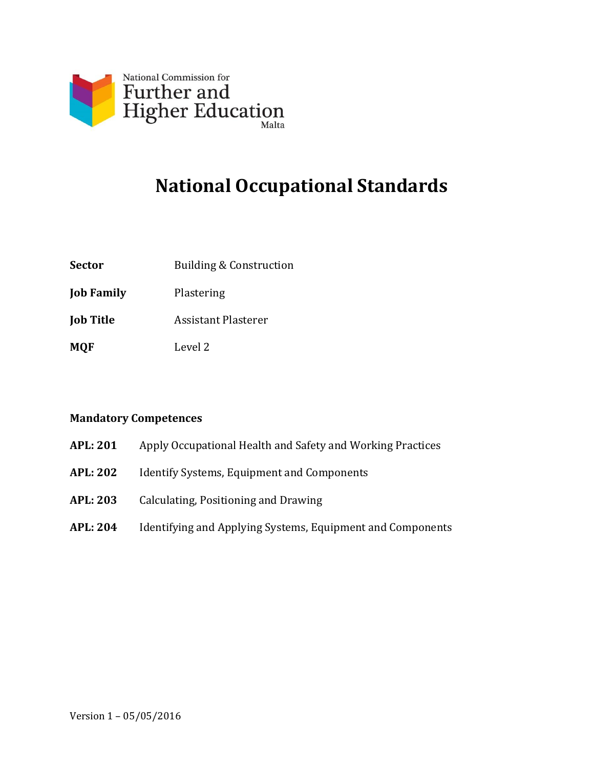

# **National Occupational Standards**

- **Sector** Building & Construction
- **Job Family** Plastering
- **Job Title** Assistant Plasterer
- **MQF** Level 2

#### **Mandatory Competences**

- **APL: 201** Apply Occupational Health and Safety and Working Practices
- **APL: 202** Identify Systems, Equipment and Components
- **APL: 203** Calculating, Positioning and Drawing
- **APL: 204** Identifying and Applying Systems, Equipment and Components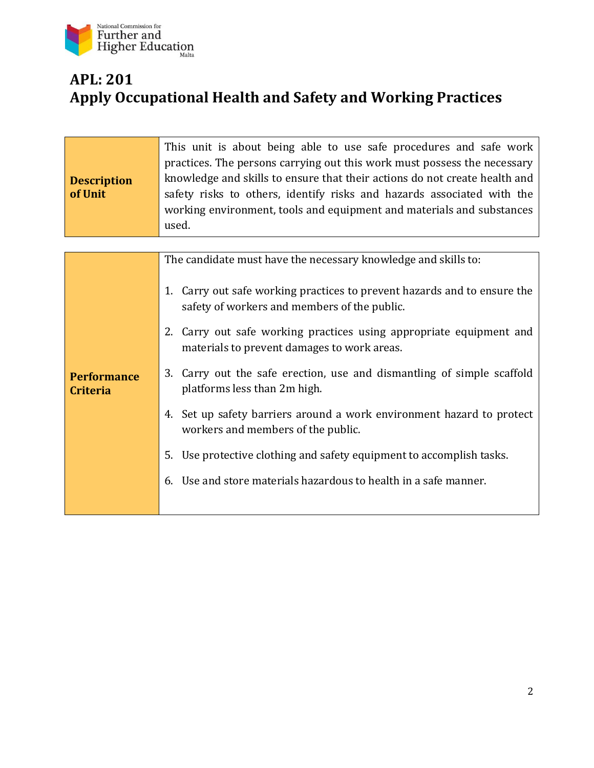

## **APL: 201 Apply Occupational Health and Safety and Working Practices**

| <b>Description</b><br>of Unit         | This unit is about being able to use safe procedures and safe work<br>practices. The persons carrying out this work must possess the necessary<br>knowledge and skills to ensure that their actions do not create health and<br>safety risks to others, identify risks and hazards associated with the<br>working environment, tools and equipment and materials and substances<br>used. |
|---------------------------------------|------------------------------------------------------------------------------------------------------------------------------------------------------------------------------------------------------------------------------------------------------------------------------------------------------------------------------------------------------------------------------------------|
|                                       |                                                                                                                                                                                                                                                                                                                                                                                          |
|                                       | The candidate must have the necessary knowledge and skills to:                                                                                                                                                                                                                                                                                                                           |
| <b>Performance</b><br><b>Criteria</b> | 1. Carry out safe working practices to prevent hazards and to ensure the<br>safety of workers and members of the public.                                                                                                                                                                                                                                                                 |
|                                       | 2. Carry out safe working practices using appropriate equipment and<br>materials to prevent damages to work areas.                                                                                                                                                                                                                                                                       |
|                                       | Carry out the safe erection, use and dismantling of simple scaffold<br>3.<br>platforms less than 2m high.                                                                                                                                                                                                                                                                                |
|                                       | 4. Set up safety barriers around a work environment hazard to protect<br>workers and members of the public.                                                                                                                                                                                                                                                                              |
|                                       | Use protective clothing and safety equipment to accomplish tasks.<br>5.                                                                                                                                                                                                                                                                                                                  |
|                                       | 6. Use and store materials hazardous to health in a safe manner.                                                                                                                                                                                                                                                                                                                         |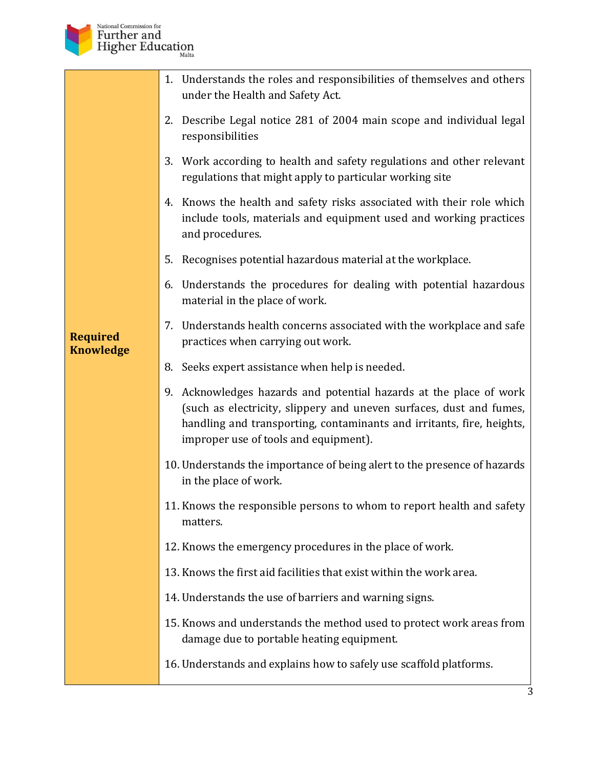

|                                     | 1. Understands the roles and responsibilities of themselves and others<br>under the Health and Safety Act.                                                                                                                                                  |
|-------------------------------------|-------------------------------------------------------------------------------------------------------------------------------------------------------------------------------------------------------------------------------------------------------------|
|                                     | 2. Describe Legal notice 281 of 2004 main scope and individual legal<br>responsibilities                                                                                                                                                                    |
|                                     | 3. Work according to health and safety regulations and other relevant<br>regulations that might apply to particular working site                                                                                                                            |
|                                     | 4. Knows the health and safety risks associated with their role which<br>include tools, materials and equipment used and working practices<br>and procedures.                                                                                               |
|                                     | Recognises potential hazardous material at the workplace.<br>5.                                                                                                                                                                                             |
|                                     | 6. Understands the procedures for dealing with potential hazardous<br>material in the place of work.                                                                                                                                                        |
| <b>Required</b><br><b>Knowledge</b> | 7. Understands health concerns associated with the workplace and safe<br>practices when carrying out work.                                                                                                                                                  |
|                                     | 8. Seeks expert assistance when help is needed.                                                                                                                                                                                                             |
|                                     | 9. Acknowledges hazards and potential hazards at the place of work<br>(such as electricity, slippery and uneven surfaces, dust and fumes,<br>handling and transporting, contaminants and irritants, fire, heights,<br>improper use of tools and equipment). |
|                                     | 10. Understands the importance of being alert to the presence of hazards<br>in the place of work.                                                                                                                                                           |
|                                     | 11. Knows the responsible persons to whom to report health and safety<br>matters.                                                                                                                                                                           |
|                                     | 12. Knows the emergency procedures in the place of work.                                                                                                                                                                                                    |
|                                     | 13. Knows the first aid facilities that exist within the work area.                                                                                                                                                                                         |
|                                     | 14. Understands the use of barriers and warning signs.                                                                                                                                                                                                      |
|                                     | 15. Knows and understands the method used to protect work areas from<br>damage due to portable heating equipment.                                                                                                                                           |
|                                     | 16. Understands and explains how to safely use scaffold platforms.                                                                                                                                                                                          |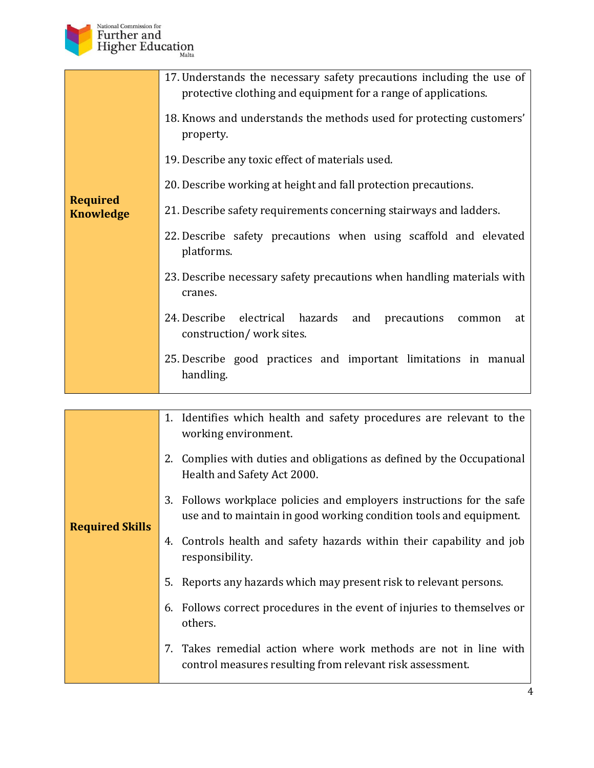

|                                     | 17. Understands the necessary safety precautions including the use of<br>protective clothing and equipment for a range of applications.<br>18. Knows and understands the methods used for protecting customers' |
|-------------------------------------|-----------------------------------------------------------------------------------------------------------------------------------------------------------------------------------------------------------------|
|                                     | property.                                                                                                                                                                                                       |
|                                     | 19. Describe any toxic effect of materials used.                                                                                                                                                                |
| <b>Required</b><br><b>Knowledge</b> | 20. Describe working at height and fall protection precautions.                                                                                                                                                 |
|                                     | 21. Describe safety requirements concerning stairways and ladders.                                                                                                                                              |
|                                     | 22. Describe safety precautions when using scaffold and elevated<br>platforms.                                                                                                                                  |
|                                     | 23. Describe necessary safety precautions when handling materials with<br>cranes.                                                                                                                               |
|                                     | 24. Describe electrical hazards and<br>precautions<br>common<br>at<br>construction/work sites.                                                                                                                  |
|                                     | 25. Describe good practices and important limitations in manual<br>handling.                                                                                                                                    |

| <b>Required Skills</b> | 1. Identifies which health and safety procedures are relevant to the<br>working environment.                                                |
|------------------------|---------------------------------------------------------------------------------------------------------------------------------------------|
|                        | Complies with duties and obligations as defined by the Occupational<br>2.<br>Health and Safety Act 2000.                                    |
|                        | 3. Follows workplace policies and employers instructions for the safe<br>use and to maintain in good working condition tools and equipment. |
|                        | 4. Controls health and safety hazards within their capability and job<br>responsibility.                                                    |
|                        | 5. Reports any hazards which may present risk to relevant persons.                                                                          |
|                        | Follows correct procedures in the event of injuries to themselves or<br>6.<br>others.                                                       |
|                        | 7. Takes remedial action where work methods are not in line with<br>control measures resulting from relevant risk assessment.               |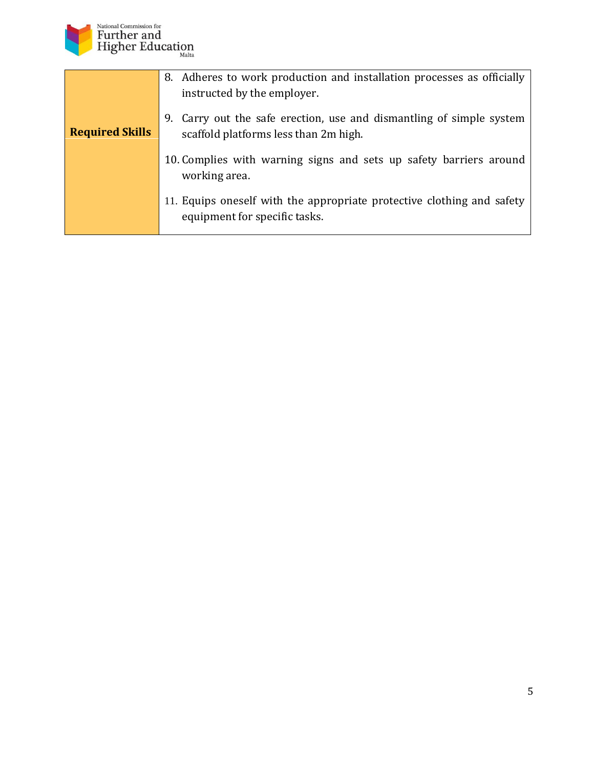

|                        | 8. Adheres to work production and installation processes as officially                                        |
|------------------------|---------------------------------------------------------------------------------------------------------------|
|                        | instructed by the employer.                                                                                   |
| <b>Required Skills</b> | 9. Carry out the safe erection, use and dismantling of simple system<br>scaffold platforms less than 2m high. |
|                        | 10. Complies with warning signs and sets up safety barriers around<br>working area.                           |
|                        | 11. Equips oneself with the appropriate protective clothing and safety<br>equipment for specific tasks.       |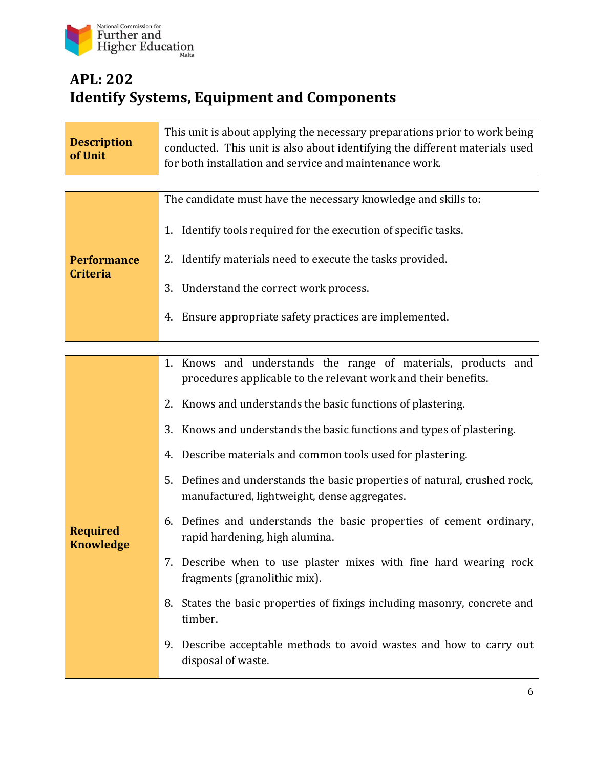

## **APL: 202 Identify Systems, Equipment and Components**

| <b>Description</b><br>of Unit       | This unit is about applying the necessary preparations prior to work being<br>conducted. This unit is also about identifying the different materials used<br>for both installation and service and maintenance work. |
|-------------------------------------|----------------------------------------------------------------------------------------------------------------------------------------------------------------------------------------------------------------------|
|                                     |                                                                                                                                                                                                                      |
|                                     | The candidate must have the necessary knowledge and skills to:                                                                                                                                                       |
|                                     | 1. Identify tools required for the execution of specific tasks.                                                                                                                                                      |
| <b>Performance</b>                  | 2. Identify materials need to execute the tasks provided.                                                                                                                                                            |
| <b>Criteria</b>                     | Understand the correct work process.<br>3.                                                                                                                                                                           |
|                                     | Ensure appropriate safety practices are implemented.<br>4.                                                                                                                                                           |
|                                     |                                                                                                                                                                                                                      |
|                                     | 1. Knows and understands the range of materials, products and<br>procedures applicable to the relevant work and their benefits.                                                                                      |
|                                     | Knows and understands the basic functions of plastering.<br>2.                                                                                                                                                       |
|                                     | 3. Knows and understands the basic functions and types of plastering.                                                                                                                                                |
|                                     | Describe materials and common tools used for plastering.<br>4.                                                                                                                                                       |
| <b>Required</b><br><b>Knowledge</b> | 5.<br>Defines and understands the basic properties of natural, crushed rock,<br>manufactured, lightweight, dense aggregates.                                                                                         |
|                                     | Defines and understands the basic properties of cement ordinary,<br>6.<br>rapid hardening, high alumina.                                                                                                             |
|                                     | 7. Describe when to use plaster mixes with fine hard wearing rock<br>fragments (granolithic mix).                                                                                                                    |
|                                     | 8. States the basic properties of fixings including masonry, concrete and<br>timber.                                                                                                                                 |
|                                     | 9. Describe acceptable methods to avoid wastes and how to carry out<br>disposal of waste.                                                                                                                            |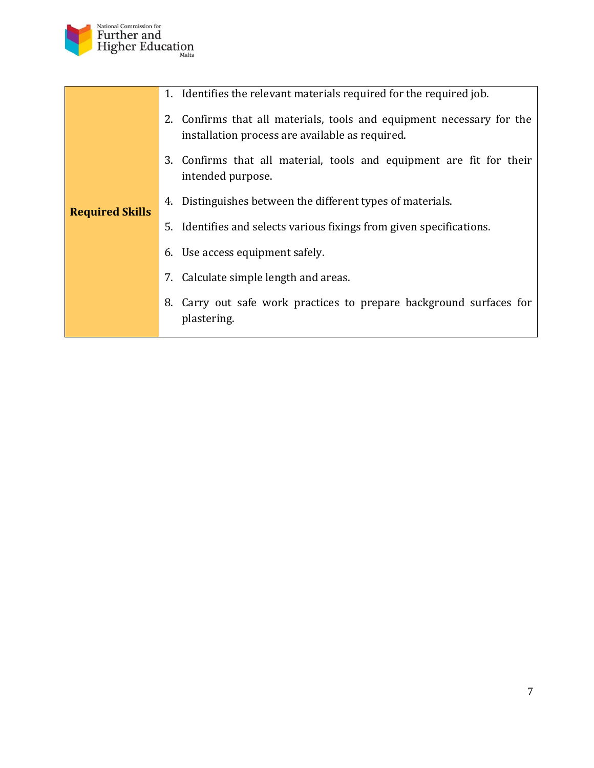

|                        | 1. Identifies the relevant materials required for the required job.                                                      |
|------------------------|--------------------------------------------------------------------------------------------------------------------------|
| <b>Required Skills</b> | 2. Confirms that all materials, tools and equipment necessary for the<br>installation process are available as required. |
|                        | 3. Confirms that all material, tools and equipment are fit for their<br>intended purpose.                                |
|                        | 4. Distinguishes between the different types of materials.                                                               |
|                        | 5. Identifies and selects various fixings from given specifications.                                                     |
|                        | 6. Use access equipment safely.                                                                                          |
|                        | 7. Calculate simple length and areas.                                                                                    |
|                        | Carry out safe work practices to prepare background surfaces for<br>8.<br>plastering.                                    |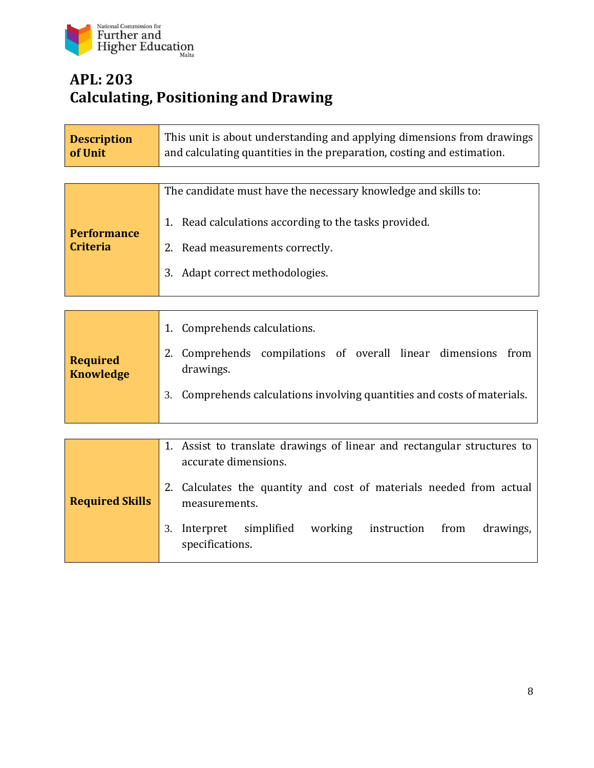

#### **APL: 203 Calculating, Positioning and Drawing**

| <b>Description</b><br>of Unit       | This unit is about understanding and applying dimensions from drawings<br>and calculating quantities in the preparation, costing and estimation. |
|-------------------------------------|--------------------------------------------------------------------------------------------------------------------------------------------------|
|                                     |                                                                                                                                                  |
| <b>Performance</b>                  | The candidate must have the necessary knowledge and skills to:                                                                                   |
|                                     | 1. Read calculations according to the tasks provided.                                                                                            |
| <b>Criteria</b>                     | 2. Read measurements correctly.                                                                                                                  |
|                                     | 3. Adapt correct methodologies.                                                                                                                  |
|                                     |                                                                                                                                                  |
| <b>Required</b><br><b>Knowledge</b> | Comprehends calculations.<br>1.                                                                                                                  |
|                                     | Comprehends compilations of overall linear dimensions from<br>2.<br>drawings.                                                                    |
|                                     | Comprehends calculations involving quantities and costs of materials.<br>3.                                                                      |
|                                     |                                                                                                                                                  |
| <b>Required Skills</b>              | 1. Assist to translate drawings of linear and rectangular structures to<br>accurate dimensions.                                                  |
|                                     | 2. Calculates the quantity and cost of materials needed from actual<br>measurements.                                                             |
|                                     | Interpret<br>working<br>simplified<br>instruction<br>from<br>drawings,<br>3.<br>specifications.                                                  |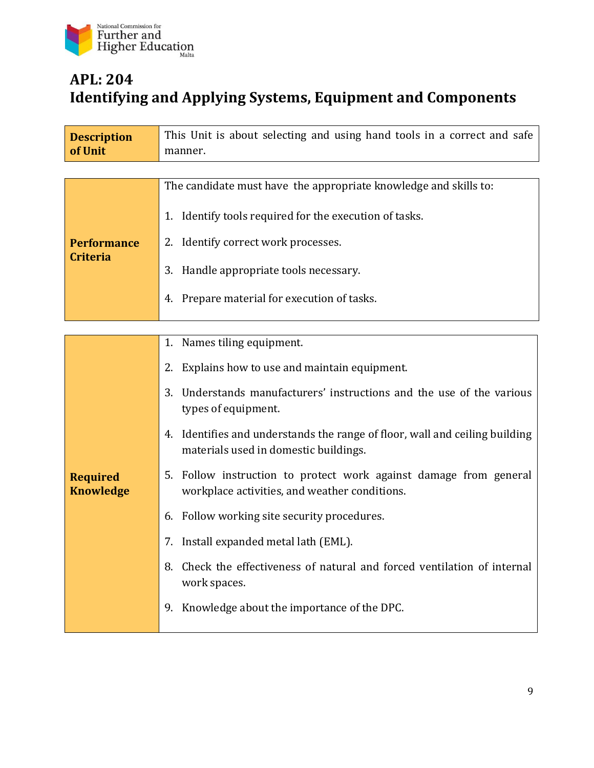

## **APL: 204 Identifying and Applying Systems, Equipment and Components**

| <b>Description</b><br>of Unit       | This Unit is about selecting and using hand tools in a correct and safe<br>manner.                                   |
|-------------------------------------|----------------------------------------------------------------------------------------------------------------------|
|                                     |                                                                                                                      |
|                                     | The candidate must have the appropriate knowledge and skills to:                                                     |
|                                     | 1. Identify tools required for the execution of tasks.                                                               |
| <b>Performance</b>                  | 2. Identify correct work processes.                                                                                  |
| <b>Criteria</b>                     | 3. Handle appropriate tools necessary.                                                                               |
|                                     | 4. Prepare material for execution of tasks.                                                                          |
|                                     |                                                                                                                      |
|                                     | 1. Names tiling equipment.                                                                                           |
|                                     | Explains how to use and maintain equipment.<br>2.                                                                    |
| <b>Required</b><br><b>Knowledge</b> | Understands manufacturers' instructions and the use of the various<br>3.<br>types of equipment.                      |
|                                     | 4. Identifies and understands the range of floor, wall and ceiling building<br>materials used in domestic buildings. |
|                                     | 5. Follow instruction to protect work against damage from general<br>workplace activities, and weather conditions.   |
|                                     | Follow working site security procedures.<br>6.                                                                       |
|                                     | 7. Install expanded metal lath (EML).                                                                                |
|                                     | Check the effectiveness of natural and forced ventilation of internal<br>8.<br>work spaces.                          |
|                                     | Knowledge about the importance of the DPC.<br>9.                                                                     |